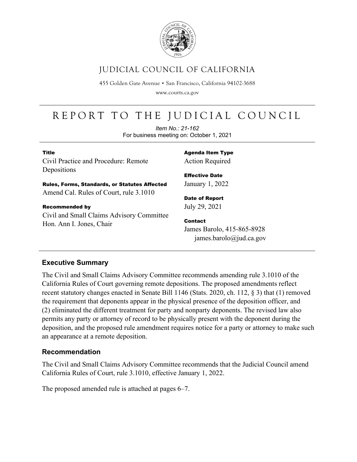

# JUDICIAL COUNCIL OF CALIFORNIA

455 Golden Gate Avenue · San Francisco, California 94102-3688

www.courts.ca.gov

# REPORT TO THE JUDICIAL COUNCIL

*Item No.: 21-162* For business meeting on: October 1, 2021

#### Title Civil Practice and Procedure: Remote Depositions

Agenda Item Type Action Required

Rules, Forms, Standards, or Statutes Affected Amend Cal. Rules of Court, rule 3.1010

Recommended by Civil and Small Claims Advisory Committee Hon. Ann I. Jones, Chair

Effective Date January 1, 2022

Date of Report July 29, 2021

Contact James Barolo, 415-865-8928 james.barolo@jud.ca.gov

#### **Executive Summary**

The Civil and Small Claims Advisory Committee recommends amending rule 3.1010 of the California Rules of Court governing remote depositions. The proposed amendments reflect recent statutory changes enacted in Senate Bill 1146 (Stats. 2020, ch. 112, § 3) that (1) removed the requirement that deponents appear in the physical presence of the deposition officer, and (2) eliminated the different treatment for party and nonparty deponents. The revised law also permits any party or attorney of record to be physically present with the deponent during the deposition, and the proposed rule amendment requires notice for a party or attorney to make such an appearance at a remote deposition.

#### **Recommendation**

The Civil and Small Claims Advisory Committee recommends that the Judicial Council amend California Rules of Court, rule 3.1010, effective January 1, 2022.

The proposed amended rule is attached at pages 6–7.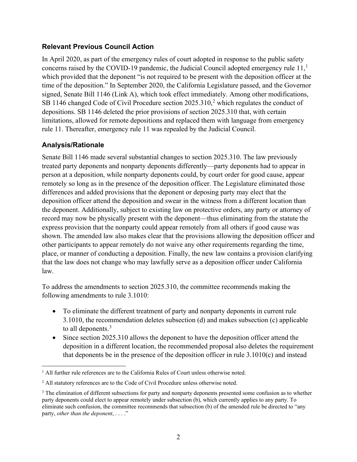#### **Relevant Previous Council Action**

In April 2020, as part of the emergency rules of court adopted in response to the public safety concerns raised by the COVID-[1](#page-1-0)9 pandemic, the Judicial Council adopted emergency rule  $11<sup>1</sup>$ which provided that the deponent "is not required to be present with the deposition officer at the time of the deposition." In September 2020, the California Legislature passed, and the Governor signed, Senate Bill 1146 (Link A), which took effect immediately. Among other modifications, SB 1146 changed Code of Civil Procedure section  $2025.310$  $2025.310$ , which regulates the conduct of depositions. SB 1146 deleted the prior provisions of section 2025.310 that, with certain limitations, allowed for remote depositions and replaced them with language from emergency rule 11. Thereafter, emergency rule 11 was repealed by the Judicial Council.

#### **Analysis/Rationale**

Senate Bill 1146 made several substantial changes to section 2025.310. The law previously treated party deponents and nonparty deponents differently—party deponents had to appear in person at a deposition, while nonparty deponents could, by court order for good cause, appear remotely so long as in the presence of the deposition officer. The Legislature eliminated those differences and added provisions that the deponent or deposing party may elect that the deposition officer attend the deposition and swear in the witness from a different location than the deponent. Additionally, subject to existing law on protective orders, any party or attorney of record may now be physically present with the deponent—thus eliminating from the statute the express provision that the nonparty could appear remotely from all others if good cause was shown. The amended law also makes clear that the provisions allowing the deposition officer and other participants to appear remotely do not waive any other requirements regarding the time, place, or manner of conducting a deposition. Finally, the new law contains a provision clarifying that the law does not change who may lawfully serve as a deposition officer under California law.

To address the amendments to section 2025.310, the committee recommends making the following amendments to rule 3.1010:

- To eliminate the different treatment of party and nonparty deponents in current rule 3.1010, the recommendation deletes subsection (d) and makes subsection (c) applicable to all deponents.<sup>[3](#page-1-2)</sup>
- Since section 2025.310 allows the deponent to have the deposition officer attend the deposition in a different location, the recommended proposal also deletes the requirement that deponents be in the presence of the deposition officer in rule 3.1010(c) and instead

<span id="page-1-0"></span><sup>&</sup>lt;sup>1</sup> All further rule references are to the California Rules of Court unless otherwise noted.

<span id="page-1-1"></span><sup>&</sup>lt;sup>2</sup> All statutory references are to the Code of Civil Procedure unless otherwise noted.

<span id="page-1-2"></span><sup>&</sup>lt;sup>3</sup> The elimination of different subsections for party and nonparty deponents presented some confusion as to whether party deponents could elect to appear remotely under subsection (b), which currently applies to any party. To eliminate such confusion, the committee recommends that subsection (b) of the amended rule be directed to "any party, *other than the deponent*, . . . ."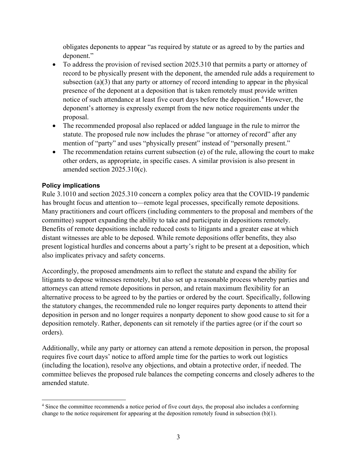obligates deponents to appear "as required by statute or as agreed to by the parties and deponent."

- To address the provision of revised section 2025.310 that permits a party or attorney of record to be physically present with the deponent, the amended rule adds a requirement to subsection (a)(3) that any party or attorney of record intending to appear in the physical presence of the deponent at a deposition that is taken remotely must provide written notice of such attendance at least five court days before the deposition.<sup>[4](#page-2-0)</sup> However, the deponent's attorney is expressly exempt from the new notice requirements under the proposal.
- The recommended proposal also replaced or added language in the rule to mirror the statute. The proposed rule now includes the phrase "or attorney of record" after any mention of "party" and uses "physically present" instead of "personally present."
- The recommendation retains current subsection (e) of the rule, allowing the court to make other orders, as appropriate, in specific cases. A similar provision is also present in amended section 2025.310(c).

#### **Policy implications**

Rule 3.1010 and section 2025.310 concern a complex policy area that the COVID-19 pandemic has brought focus and attention to—remote legal processes, specifically remote depositions. Many practitioners and court officers (including commenters to the proposal and members of the committee) support expanding the ability to take and participate in depositions remotely. Benefits of remote depositions include reduced costs to litigants and a greater ease at which distant witnesses are able to be deposed. While remote depositions offer benefits, they also present logistical hurdles and concerns about a party's right to be present at a deposition, which also implicates privacy and safety concerns.

Accordingly, the proposed amendments aim to reflect the statute and expand the ability for litigants to depose witnesses remotely, but also set up a reasonable process whereby parties and attorneys can attend remote depositions in person, and retain maximum flexibility for an alternative process to be agreed to by the parties or ordered by the court. Specifically, following the statutory changes, the recommended rule no longer requires party deponents to attend their deposition in person and no longer requires a nonparty deponent to show good cause to sit for a deposition remotely. Rather, deponents can sit remotely if the parties agree (or if the court so orders).

Additionally, while any party or attorney can attend a remote deposition in person, the proposal requires five court days' notice to afford ample time for the parties to work out logistics (including the location), resolve any objections, and obtain a protective order, if needed. The committee believes the proposed rule balances the competing concerns and closely adheres to the amended statute.

<span id="page-2-0"></span><sup>4</sup> Since the committee recommends a notice period of five court days, the proposal also includes a conforming change to the notice requirement for appearing at the deposition remotely found in subsection (b)(1).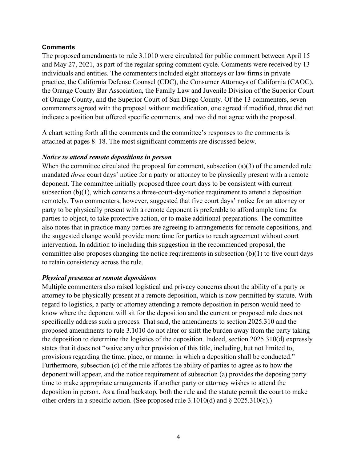#### **Comments**

The proposed amendments to rule 3.1010 were circulated for public comment between April 15 and May 27, 2021, as part of the regular spring comment cycle. Comments were received by 13 individuals and entities. The commenters included eight attorneys or law firms in private practice, the California Defense Counsel (CDC), the Consumer Attorneys of California (CAOC), the Orange County Bar Association, the Family Law and Juvenile Division of the Superior Court of Orange County, and the Superior Court of San Diego County. Of the 13 commenters, seven commenters agreed with the proposal without modification, one agreed if modified, three did not indicate a position but offered specific comments, and two did not agree with the proposal.

A chart setting forth all the comments and the committee's responses to the comments is attached at pages 8–18. The most significant comments are discussed below.

#### *Notice to attend remote depositions in person*

When the committee circulated the proposal for comment, subsection (a)(3) of the amended rule mandated *three* court days' notice for a party or attorney to be physically present with a remote deponent. The committee initially proposed three court days to be consistent with current subsection (b)(1), which contains a three-court-day-notice requirement to attend a deposition remotely. Two commenters, however, suggested that five court days' notice for an attorney or party to be physically present with a remote deponent is preferable to afford ample time for parties to object, to take protective action, or to make additional preparations. The committee also notes that in practice many parties are agreeing to arrangements for remote depositions, and the suggested change would provide more time for parties to reach agreement without court intervention. In addition to including this suggestion in the recommended proposal, the committee also proposes changing the notice requirements in subsection  $(b)(1)$  to five court days to retain consistency across the rule.

#### *Physical presence at remote depositions*

Multiple commenters also raised logistical and privacy concerns about the ability of a party or attorney to be physically present at a remote deposition, which is now permitted by statute. With regard to logistics, a party or attorney attending a remote deposition in person would need to know where the deponent will sit for the deposition and the current or proposed rule does not specifically address such a process. That said, the amendments to section 2025.310 and the proposed amendments to rule 3.1010 do not alter or shift the burden away from the party taking the deposition to determine the logistics of the deposition. Indeed, section 2025.310(d) expressly states that it does not "waive any other provision of this title, including, but not limited to, provisions regarding the time, place, or manner in which a deposition shall be conducted." Furthermore, subsection (c) of the rule affords the ability of parties to agree as to how the deponent will appear, and the notice requirement of subsection (a) provides the deposing party time to make appropriate arrangements if another party or attorney wishes to attend the deposition in person. As a final backstop, both the rule and the statute permit the court to make other orders in a specific action. (See proposed rule 3.1010(d) and § 2025.310(c).)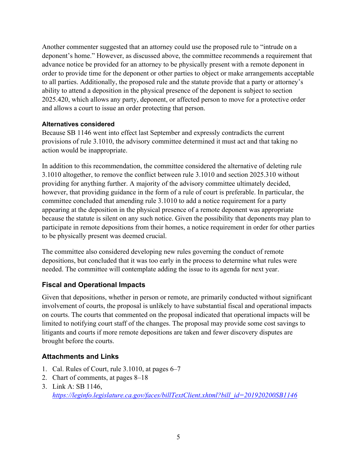Another commenter suggested that an attorney could use the proposed rule to "intrude on a deponent's home." However, as discussed above, the committee recommends a requirement that advance notice be provided for an attorney to be physically present with a remote deponent in order to provide time for the deponent or other parties to object or make arrangements acceptable to all parties. Additionally, the proposed rule and the statute provide that a party or attorney's ability to attend a deposition in the physical presence of the deponent is subject to section 2025.420, which allows any party, deponent, or affected person to move for a protective order and allows a court to issue an order protecting that person.

#### **Alternatives considered**

Because SB 1146 went into effect last September and expressly contradicts the current provisions of rule 3.1010, the advisory committee determined it must act and that taking no action would be inappropriate.

In addition to this recommendation, the committee considered the alternative of deleting rule 3.1010 altogether, to remove the conflict between rule 3.1010 and section 2025.310 without providing for anything further. A majority of the advisory committee ultimately decided, however, that providing guidance in the form of a rule of court is preferable. In particular, the committee concluded that amending rule 3.1010 to add a notice requirement for a party appearing at the deposition in the physical presence of a remote deponent was appropriate because the statute is silent on any such notice. Given the possibility that deponents may plan to participate in remote depositions from their homes, a notice requirement in order for other parties to be physically present was deemed crucial.

The committee also considered developing new rules governing the conduct of remote depositions, but concluded that it was too early in the process to determine what rules were needed. The committee will contemplate adding the issue to its agenda for next year.

#### **Fiscal and Operational Impacts**

Given that depositions, whether in person or remote, are primarily conducted without significant involvement of courts, the proposal is unlikely to have substantial fiscal and operational impacts on courts. The courts that commented on the proposal indicated that operational impacts will be limited to notifying court staff of the changes. The proposal may provide some cost savings to litigants and courts if more remote depositions are taken and fewer discovery disputes are brought before the courts.

#### **Attachments and Links**

- 1. Cal. Rules of Court, rule 3.1010, at pages 6–7
- 2. Chart of comments, at pages 8–18
- 3. Link A: SB 1146, *[https://leginfo.legislature.ca.gov/faces/billTextClient.xhtml?bill\\_id=201920200SB1146](https://leginfo.legislature.ca.gov/faces/billTextClient.xhtml?bill_id=201920200SB1146)*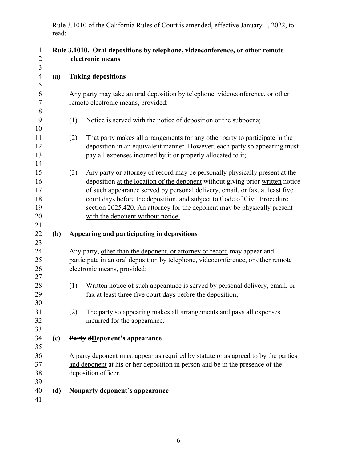Rule 3.1010 of the California Rules of Court is amended, effective January 1, 2022, to read:

|     | Rule 3.1010. Oral depositions by telephone, videoconference, or other remote<br>electronic means                                                                                                                                                                                                                                                                                                                                                  |
|-----|---------------------------------------------------------------------------------------------------------------------------------------------------------------------------------------------------------------------------------------------------------------------------------------------------------------------------------------------------------------------------------------------------------------------------------------------------|
| (a) | <b>Taking depositions</b>                                                                                                                                                                                                                                                                                                                                                                                                                         |
|     | Any party may take an oral deposition by telephone, videoconference, or other<br>remote electronic means, provided:                                                                                                                                                                                                                                                                                                                               |
|     | (1)<br>Notice is served with the notice of deposition or the subpoena;                                                                                                                                                                                                                                                                                                                                                                            |
|     | That party makes all arrangements for any other party to participate in the<br>(2)<br>deposition in an equivalent manner. However, each party so appearing must<br>pay all expenses incurred by it or properly allocated to it;                                                                                                                                                                                                                   |
|     | Any party or attorney of record may be personally physically present at the<br>(3)<br>deposition at the location of the deponent without giving prior written notice<br>of such appearance served by personal delivery, email, or fax, at least five<br>court days before the deposition, and subject to Code of Civil Procedure<br>section 2025.420. An attorney for the deponent may be physically present<br>with the deponent without notice. |
| (b) | Appearing and participating in depositions                                                                                                                                                                                                                                                                                                                                                                                                        |
|     | Any party, other than the deponent, or attorney of record may appear and<br>participate in an oral deposition by telephone, videoconference, or other remote<br>electronic means, provided:                                                                                                                                                                                                                                                       |
|     | Written notice of such appearance is served by personal delivery, email, or<br>(1)<br>fax at least three five court days before the deposition;                                                                                                                                                                                                                                                                                                   |
|     | The party so appearing makes all arrangements and pays all expenses<br>(2)<br>incurred for the appearance.                                                                                                                                                                                                                                                                                                                                        |
| (c) | <b>Party dDeponent's appearance</b>                                                                                                                                                                                                                                                                                                                                                                                                               |
|     | A party deponent must appear as required by statute or as agreed to by the parties<br>and deponent at his or her deposition in person and be in the presence of the<br>deposition officer.                                                                                                                                                                                                                                                        |
|     | (d) Nonparty deponent's appearance                                                                                                                                                                                                                                                                                                                                                                                                                |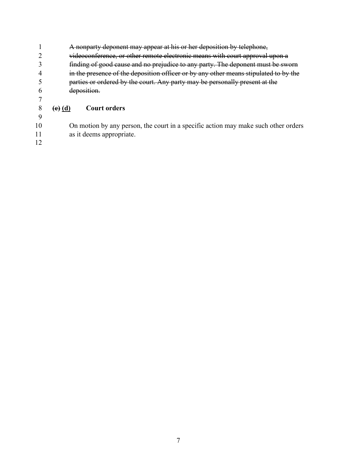A nonparty deponent may appear at his or her deposition by telephone, videoconference, or other remote electronic means with court approval upon a finding of good cause and no prejudice to any party. The deponent must be sworn in the presence of the deposition officer or by any other means stipulated to by the parties or ordered by the court. Any party may be personally present at the deposition. **(e) (d) Court orders** 

 On motion by any person, the court in a specific action may make such other orders as it deems appropriate.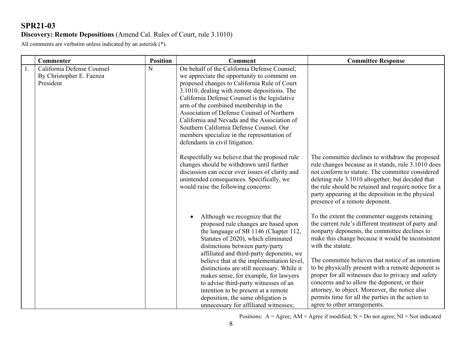#### **Discovery: Remote Depositions** (Amend Cal. Rules of Court, rule 3.1010)

All comments are verbatim unless indicated by an asterisk (\*).

|    | <b>Commenter</b>                                                    | <b>Position</b> | <b>Comment</b>                                                                                                                                                                                                                                                                                                                                                                                                                                                                                                                            | <b>Committee Response</b>                                                                                                                                                                                                                                                                                                                                                                                                                                                                                                                                                                 |
|----|---------------------------------------------------------------------|-----------------|-------------------------------------------------------------------------------------------------------------------------------------------------------------------------------------------------------------------------------------------------------------------------------------------------------------------------------------------------------------------------------------------------------------------------------------------------------------------------------------------------------------------------------------------|-------------------------------------------------------------------------------------------------------------------------------------------------------------------------------------------------------------------------------------------------------------------------------------------------------------------------------------------------------------------------------------------------------------------------------------------------------------------------------------------------------------------------------------------------------------------------------------------|
| 1. | California Defense Counsel<br>By Christopher E. Faenza<br>President | N               | On behalf of the California Defense Counsel,<br>we appreciate the opportunity to comment on<br>proposed changes to California Rule of Court<br>3.1010, dealing with remote depositions. The<br>California Defense Counsel is the legislative<br>arm of the combined membership in the<br>Association of Defense Counsel of Northern<br>California and Nevada and the Association of<br>Southern California Defense Counsel. Our<br>members specialize in the representation of<br>defendants in civil litigation.                         |                                                                                                                                                                                                                                                                                                                                                                                                                                                                                                                                                                                           |
|    |                                                                     |                 | Respectfully we believe that the proposed rule<br>changes should be withdrawn until further<br>discussion can occur over issues of clarity and<br>unintended consequences. Specifically, we<br>would raise the following concerns:                                                                                                                                                                                                                                                                                                        | The committee declines to withdraw the proposed<br>rule changes because as it stands, rule 3.1010 does<br>not conform to statute. The committee considered<br>deleting rule 3.1010 altogether, but decided that<br>the rule should be retained and require notice for a<br>party appearing at the deposition in the physical<br>presence of a remote deponent.                                                                                                                                                                                                                            |
|    |                                                                     |                 | Although we recognize that the<br>proposed rule changes are based upon<br>the language of SB 1146 (Chapter 112,<br>Statutes of 2020), which eliminated<br>distinctions between party/party<br>affiliated and third-party deponents, we<br>believe that at the implementation level,<br>distinctions are still necessary. While it<br>makes sense, for example, for lawyers<br>to advise third-party witnesses of an<br>intention to be present at a remote<br>deposition, the same obligation is<br>unnecessary for affiliated witnesses; | To the extent the commenter suggests retaining<br>the current rule's different treatment of party and<br>nonparty deponents, the committee declines to<br>make this change because it would be inconsistent<br>with the statute.<br>The committee believes that notice of an intention<br>to be physically present with a remote deponent is<br>proper for all witnesses due to privacy and safety<br>concerns and to allow the deponent, or their<br>attorney, to object. Moreover, the notice also<br>permits time for all the parties in the action to<br>agree to other arrangements. |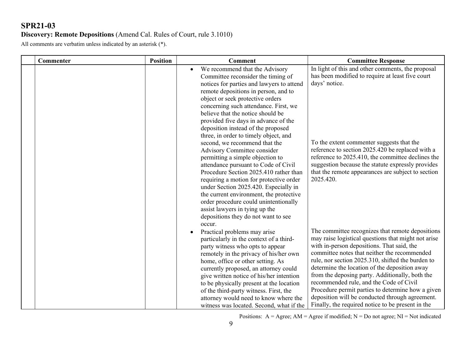#### **Discovery: Remote Depositions** (Amend Cal. Rules of Court, rule 3.1010)

All comments are verbatim unless indicated by an asterisk (\*).

| Commenter | <b>Position</b> | <b>Comment</b>                                                                                                                                                                                                                                                                                                                                                                                                                                                                                                                                                                                                                                                                                                                                                                                                                                      | <b>Committee Response</b>                                                                                                                                                                                                                                                                                                                                                                                                                                                                                                                                              |
|-----------|-----------------|-----------------------------------------------------------------------------------------------------------------------------------------------------------------------------------------------------------------------------------------------------------------------------------------------------------------------------------------------------------------------------------------------------------------------------------------------------------------------------------------------------------------------------------------------------------------------------------------------------------------------------------------------------------------------------------------------------------------------------------------------------------------------------------------------------------------------------------------------------|------------------------------------------------------------------------------------------------------------------------------------------------------------------------------------------------------------------------------------------------------------------------------------------------------------------------------------------------------------------------------------------------------------------------------------------------------------------------------------------------------------------------------------------------------------------------|
|           |                 | We recommend that the Advisory<br>Committee reconsider the timing of<br>notices for parties and lawyers to attend<br>remote depositions in person, and to<br>object or seek protective orders<br>concerning such attendance. First, we<br>believe that the notice should be<br>provided five days in advance of the<br>deposition instead of the proposed<br>three, in order to timely object, and<br>second, we recommend that the<br>Advisory Committee consider<br>permitting a simple objection to<br>attendance pursuant to Code of Civil<br>Procedure Section 2025.410 rather than<br>requiring a motion for protective order<br>under Section 2025.420. Especially in<br>the current environment, the protective<br>order procedure could unintentionally<br>assist lawyers in tying up the<br>depositions they do not want to see<br>occur. | In light of this and other comments, the proposal<br>has been modified to require at least five court<br>days' notice.<br>To the extent commenter suggests that the<br>reference to section 2025.420 be replaced with a<br>reference to 2025.410, the committee declines the<br>suggestion because the statute expressly provides<br>that the remote appearances are subject to section<br>2025.420.                                                                                                                                                                   |
|           |                 | Practical problems may arise<br>particularly in the context of a third-<br>party witness who opts to appear<br>remotely in the privacy of his/her own<br>home, office or other setting. As<br>currently proposed, an attorney could<br>give written notice of his/her intention<br>to be physically present at the location<br>of the third-party witness. First, the<br>attorney would need to know where the<br>witness was located. Second, what if the                                                                                                                                                                                                                                                                                                                                                                                          | The committee recognizes that remote depositions<br>may raise logistical questions that might not arise<br>with in-person depositions. That said, the<br>committee notes that neither the recommended<br>rule, nor section 2025.310, shifted the burden to<br>determine the location of the deposition away<br>from the deposing party. Additionally, both the<br>recommended rule, and the Code of Civil<br>Procedure permit parties to determine how a given<br>deposition will be conducted through agreement.<br>Finally, the required notice to be present in the |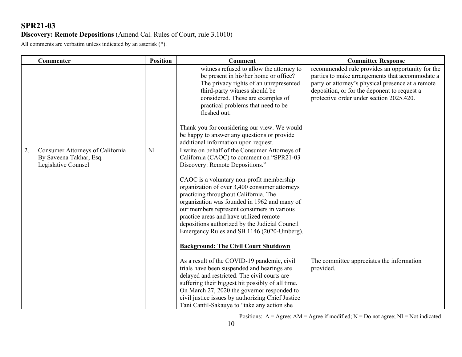#### **Discovery: Remote Depositions** (Amend Cal. Rules of Court, rule 3.1010)

All comments are verbatim unless indicated by an asterisk (\*).

|    | <b>Commenter</b>                                                                   | <b>Position</b> | <b>Comment</b>                                                                                                                                                                                                                                                                                                                                                                                                                                                                                                                                                | <b>Committee Response</b>                                                                                                                                                                                                                            |
|----|------------------------------------------------------------------------------------|-----------------|---------------------------------------------------------------------------------------------------------------------------------------------------------------------------------------------------------------------------------------------------------------------------------------------------------------------------------------------------------------------------------------------------------------------------------------------------------------------------------------------------------------------------------------------------------------|------------------------------------------------------------------------------------------------------------------------------------------------------------------------------------------------------------------------------------------------------|
|    |                                                                                    |                 | witness refused to allow the attorney to<br>be present in his/her home or office?<br>The privacy rights of an unrepresented<br>third-party witness should be<br>considered. These are examples of<br>practical problems that need to be<br>fleshed out.<br>Thank you for considering our view. We would                                                                                                                                                                                                                                                       | recommended rule provides an opportunity for the<br>parties to make arrangements that accommodate a<br>party or attorney's physical presence at a remote<br>deposition, or for the deponent to request a<br>protective order under section 2025.420. |
|    |                                                                                    |                 | be happy to answer any questions or provide<br>additional information upon request.                                                                                                                                                                                                                                                                                                                                                                                                                                                                           |                                                                                                                                                                                                                                                      |
| 2. | Consumer Attorneys of California<br>By Saveena Takhar, Esq.<br>Legislative Counsel | NI              | I write on behalf of the Consumer Attorneys of<br>California (CAOC) to comment on "SPR21-03<br>Discovery: Remote Depositions."<br>CAOC is a voluntary non-profit membership<br>organization of over 3,400 consumer attorneys<br>practicing throughout California. The<br>organization was founded in 1962 and many of<br>our members represent consumers in various<br>practice areas and have utilized remote<br>depositions authorized by the Judicial Council<br>Emergency Rules and SB 1146 (2020-Umberg).<br><b>Background: The Civil Court Shutdown</b> |                                                                                                                                                                                                                                                      |
|    |                                                                                    |                 | As a result of the COVID-19 pandemic, civil<br>trials have been suspended and hearings are<br>delayed and restricted. The civil courts are<br>suffering their biggest hit possibly of all time.<br>On March 27, 2020 the governor responded to<br>civil justice issues by authorizing Chief Justice<br>Tani Cantil-Sakauye to "take any action she                                                                                                                                                                                                            | The committee appreciates the information<br>provided.                                                                                                                                                                                               |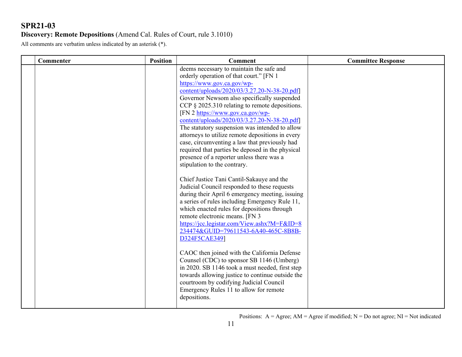### **Discovery: Remote Depositions** (Amend Cal. Rules of Court, rule 3.1010)

All comments are verbatim unless indicated by an asterisk (\*).

| deems necessary to maintain the safe and<br>orderly operation of that court." [FN 1<br>https://www.gov.ca.gov/wp-<br>content/uploads/2020/03/3.27.20-N-38-20.pdf]<br>Governor Newsom also specifically suspended<br>CCP $\S$ 2025.310 relating to remote depositions.<br>[FN 2 https://www.gov.ca.gov/wp-<br>content/uploads/2020/03/3.27.20-N-38-20.pdf]<br>The statutory suspension was intended to allow<br>attorneys to utilize remote depositions in every<br>case, circumventing a law that previously had<br>required that parties be deposed in the physical<br>presence of a reporter unless there was a<br>stipulation to the contrary.<br>Chief Justice Tani Cantil-Sakauye and the<br>Judicial Council responded to these requests<br>during their April 6 emergency meeting, issuing<br>a series of rules including Emergency Rule 11, |
|-----------------------------------------------------------------------------------------------------------------------------------------------------------------------------------------------------------------------------------------------------------------------------------------------------------------------------------------------------------------------------------------------------------------------------------------------------------------------------------------------------------------------------------------------------------------------------------------------------------------------------------------------------------------------------------------------------------------------------------------------------------------------------------------------------------------------------------------------------|
| which enacted rules for depositions through<br>remote electronic means. [FN 3<br>https://jcc.legistar.com/View.ashx?M=F&ID=8<br>234474&GUID=79611543-6A40-465C-8B8B-<br>D324F5CAE349]<br>CAOC then joined with the California Defense<br>Counsel (CDC) to sponsor SB 1146 (Umberg)<br>in 2020. SB 1146 took a must needed, first step<br>towards allowing justice to continue outside the<br>courtroom by codifying Judicial Council<br>Emergency Rules 11 to allow for remote<br>depositions.                                                                                                                                                                                                                                                                                                                                                      |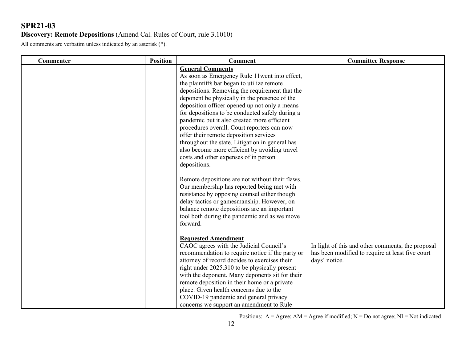#### **Discovery: Remote Depositions** (Amend Cal. Rules of Court, rule 3.1010)

All comments are verbatim unless indicated by an asterisk (\*).

| Commenter | <b>Position</b> | <b>Comment</b>                                                                                                                                                                                                                                                                                                                                                                                                                                                                                                                                                                                                                                                                                                                                                                                                                                                                                                                               | <b>Committee Response</b>                                                                                              |
|-----------|-----------------|----------------------------------------------------------------------------------------------------------------------------------------------------------------------------------------------------------------------------------------------------------------------------------------------------------------------------------------------------------------------------------------------------------------------------------------------------------------------------------------------------------------------------------------------------------------------------------------------------------------------------------------------------------------------------------------------------------------------------------------------------------------------------------------------------------------------------------------------------------------------------------------------------------------------------------------------|------------------------------------------------------------------------------------------------------------------------|
|           |                 | <b>General Comments</b><br>As soon as Emergency Rule 11went into effect,<br>the plaintiffs bar began to utilize remote<br>depositions. Removing the requirement that the<br>deponent be physically in the presence of the<br>deposition officer opened up not only a means<br>for depositions to be conducted safely during a<br>pandemic but it also created more efficient<br>procedures overall. Court reporters can now<br>offer their remote deposition services<br>throughout the state. Litigation in general has<br>also become more efficient by avoiding travel<br>costs and other expenses of in person<br>depositions.<br>Remote depositions are not without their flaws.<br>Our membership has reported being met with<br>resistance by opposing counsel either though<br>delay tactics or gamesmanship. However, on<br>balance remote depositions are an important<br>tool both during the pandemic and as we move<br>forward. |                                                                                                                        |
|           |                 | <b>Requested Amendment</b><br>CAOC agrees with the Judicial Council's<br>recommendation to require notice if the party or<br>attorney of record decides to exercises their<br>right under 2025.310 to be physically present<br>with the deponent. Many deponents sit for their<br>remote deposition in their home or a private<br>place. Given health concerns due to the<br>COVID-19 pandemic and general privacy<br>concerns we support an amendment to Rule                                                                                                                                                                                                                                                                                                                                                                                                                                                                               | In light of this and other comments, the proposal<br>has been modified to require at least five court<br>days' notice. |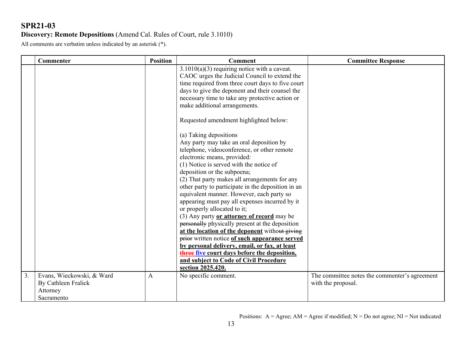#### **Discovery: Remote Depositions** (Amend Cal. Rules of Court, rule 3.1010)

All comments are verbatim unless indicated by an asterisk (\*).

|    | Commenter                                                                  | <b>Position</b> | <b>Comment</b>                                                                                                                                                                                                                                                                                                                                                                                                                                                                                                                                                                                                                                                                                                                                                                                                                                                                                                                                                                                                                                                                                                                                                                             | <b>Committee Response</b>                                           |
|----|----------------------------------------------------------------------------|-----------------|--------------------------------------------------------------------------------------------------------------------------------------------------------------------------------------------------------------------------------------------------------------------------------------------------------------------------------------------------------------------------------------------------------------------------------------------------------------------------------------------------------------------------------------------------------------------------------------------------------------------------------------------------------------------------------------------------------------------------------------------------------------------------------------------------------------------------------------------------------------------------------------------------------------------------------------------------------------------------------------------------------------------------------------------------------------------------------------------------------------------------------------------------------------------------------------------|---------------------------------------------------------------------|
|    |                                                                            |                 | $\overline{3.1010(a)}$ (3) requiring notice with a caveat.<br>CAOC urges the Judicial Council to extend the<br>time required from three court days to five court<br>days to give the deponent and their counsel the<br>necessary time to take any protective action or<br>make additional arrangements.<br>Requested amendment highlighted below:<br>(a) Taking depositions<br>Any party may take an oral deposition by<br>telephone, videoconference, or other remote<br>electronic means, provided:<br>(1) Notice is served with the notice of<br>deposition or the subpoena;<br>(2) That party makes all arrangements for any<br>other party to participate in the deposition in an<br>equivalent manner. However, each party so<br>appearing must pay all expenses incurred by it<br>or properly allocated to it;<br>(3) Any party or attorney of record may be<br>personally physically present at the deposition<br>at the location of the deponent without giving<br>prior written notice of such appearance served<br>by personal delivery, email, or fax, at least<br>three five court days before the deposition,<br>and subject to Code of Civil Procedure<br>section 2025.420. |                                                                     |
| 3. | Evans, Wieckowski, & Ward<br>By Cathleen Fralick<br>Attorney<br>Sacramento | A               | No specific comment.                                                                                                                                                                                                                                                                                                                                                                                                                                                                                                                                                                                                                                                                                                                                                                                                                                                                                                                                                                                                                                                                                                                                                                       | The committee notes the commenter's agreement<br>with the proposal. |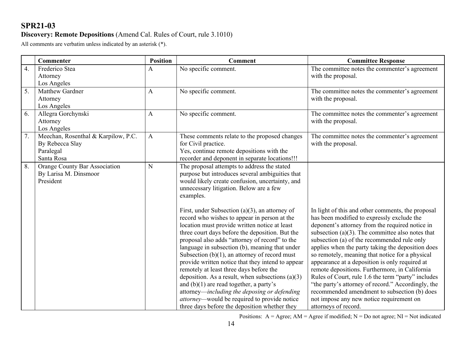### **Discovery: Remote Depositions** (Amend Cal. Rules of Court, rule 3.1010)

All comments are verbatim unless indicated by an asterisk (\*).

|    | <b>Commenter</b>                    | <b>Position</b> | <b>Comment</b>                                                                              | <b>Committee Response</b>                            |
|----|-------------------------------------|-----------------|---------------------------------------------------------------------------------------------|------------------------------------------------------|
| 4. | Frederico Stea                      | A               | No specific comment.                                                                        | The committee notes the commenter's agreement        |
|    | Attorney                            |                 |                                                                                             | with the proposal.                                   |
|    | Los Angeles                         |                 |                                                                                             |                                                      |
| 5. | Matthew Gardner                     | A               | No specific comment.                                                                        | The committee notes the commenter's agreement        |
|    | Attorney                            |                 |                                                                                             | with the proposal.                                   |
|    | Los Angeles                         |                 |                                                                                             |                                                      |
| 6. | Allegra Gorchynski                  | A               | No specific comment.                                                                        | The committee notes the commenter's agreement        |
|    | Attorney                            |                 |                                                                                             | with the proposal.                                   |
|    | Los Angeles                         |                 |                                                                                             |                                                      |
| 7. | Meechan, Rosenthal & Karpilow, P.C. | $\mathbf{A}$    | These comments relate to the proposed changes                                               | The committee notes the commenter's agreement        |
|    | By Rebecca Slay                     |                 | for Civil practice.                                                                         | with the proposal.                                   |
|    | Paralegal<br>Santa Rosa             |                 | Yes, continue remote depositions with the<br>recorder and deponent in separate locations!!! |                                                      |
| 8. | Orange County Bar Association       | N               | The proposal attempts to address the stated                                                 |                                                      |
|    | By Larisa M. Dinsmoor               |                 | purpose but introduces several ambiguities that                                             |                                                      |
|    | President                           |                 | would likely create confusion, uncertainty, and                                             |                                                      |
|    |                                     |                 | unnecessary litigation. Below are a few                                                     |                                                      |
|    |                                     |                 | examples.                                                                                   |                                                      |
|    |                                     |                 |                                                                                             |                                                      |
|    |                                     |                 | First, under Subsection $(a)(3)$ , an attorney of                                           | In light of this and other comments, the proposal    |
|    |                                     |                 | record who wishes to appear in person at the                                                | has been modified to expressly exclude the           |
|    |                                     |                 | location must provide written notice at least                                               | deponent's attorney from the required notice in      |
|    |                                     |                 | three court days before the deposition. But the                                             | subsection (a) $(3)$ . The committee also notes that |
|    |                                     |                 | proposal also adds "attorney of record" to the                                              | subsection (a) of the recommended rule only          |
|    |                                     |                 | language in subsection (b), meaning that under                                              | applies when the party taking the deposition does    |
|    |                                     |                 | Subsection $(b)(1)$ , an attorney of record must                                            | so remotely, meaning that notice for a physical      |
|    |                                     |                 | provide written notice that they intend to appear                                           | appearance at a deposition is only required at       |
|    |                                     |                 | remotely at least three days before the                                                     | remote depositions. Furthermore, in California       |
|    |                                     |                 | deposition. As a result, when subsections $(a)(3)$                                          | Rules of Court, rule 1.6 the term "party" includes   |
|    |                                     |                 | and $(b)(1)$ are read together, a party's                                                   | "the party's attorney of record." Accordingly, the   |
|    |                                     |                 | attorney—including the deposing or defending                                                | recommended amendment to subsection (b) does         |
|    |                                     |                 | <i>attorney</i> —would be required to provide notice                                        | not impose any new notice requirement on             |
|    |                                     |                 | three days before the deposition whether they                                               | attorneys of record.                                 |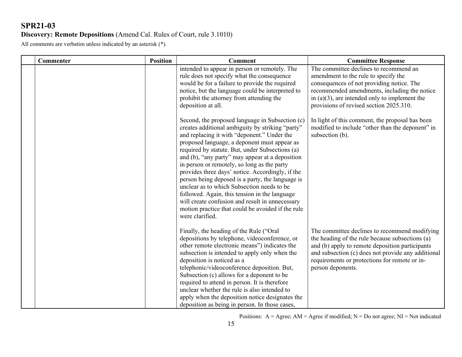### **Discovery: Remote Depositions** (Amend Cal. Rules of Court, rule 3.1010)

All comments are verbatim unless indicated by an asterisk (\*).

|  | Commenter | <b>Position</b> | <b>Comment</b>                                                                                                                                                                                                                                                                                                                                                                                                                                                                                                                                                                                                                                                                            | <b>Committee Response</b>                                                                                                                                                                                                                                                       |
|--|-----------|-----------------|-------------------------------------------------------------------------------------------------------------------------------------------------------------------------------------------------------------------------------------------------------------------------------------------------------------------------------------------------------------------------------------------------------------------------------------------------------------------------------------------------------------------------------------------------------------------------------------------------------------------------------------------------------------------------------------------|---------------------------------------------------------------------------------------------------------------------------------------------------------------------------------------------------------------------------------------------------------------------------------|
|  |           |                 | intended to appear in person or remotely. The<br>rule does not specify what the consequence<br>would be for a failure to provide the required<br>notice, but the language could be interpreted to<br>prohibit the attorney from attending the<br>deposition at all.                                                                                                                                                                                                                                                                                                                                                                                                                       | The committee declines to recommend an<br>amendment to the rule to specify the<br>consequences of not providing notice. The<br>recommended amendments, including the notice<br>in $(a)(3)$ , are intended only to implement the<br>provisions of revised section 2025.310.      |
|  |           |                 | Second, the proposed language in Subsection (c)<br>creates additional ambiguity by striking "party"<br>and replacing it with "deponent." Under the<br>proposed language, a deponent must appear as<br>required by statute. But, under Subsections (a)<br>and (b), "any party" may appear at a deposition<br>in person or remotely, so long as the party<br>provides three days' notice. Accordingly, if the<br>person being deposed is a party, the language is<br>unclear as to which Subsection needs to be<br>followed. Again, this tension in the language<br>will create confusion and result in unnecessary<br>motion practice that could be avoided if the rule<br>were clarified. | In light of this comment, the proposal has been<br>modified to include "other than the deponent" in<br>subsection (b).                                                                                                                                                          |
|  |           |                 | Finally, the heading of the Rule ("Oral<br>depositions by telephone, videoconference, or<br>other remote electronic means") indicates the<br>subsection is intended to apply only when the<br>deposition is noticed as a<br>telephonic/videoconference deposition. But,<br>Subsection (c) allows for a deponent to be<br>required to attend in person. It is therefore<br>unclear whether the rule is also intended to<br>apply when the deposition notice designates the<br>deposition as being in person. In those cases,                                                                                                                                                               | The committee declines to recommend modifying<br>the heading of the rule because subsections (a)<br>and (b) apply to remote deposition participants<br>and subsection (c) does not provide any additional<br>requirements or protections for remote or in-<br>person deponents. |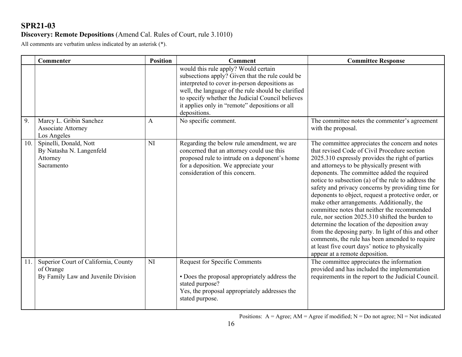### **Discovery: Remote Depositions** (Amend Cal. Rules of Court, rule 3.1010)

All comments are verbatim unless indicated by an asterisk (\*).

|     | Commenter                                                                                | <b>Position</b> | <b>Comment</b>                                                                                                                                                                                                                                                                                                       | <b>Committee Response</b>                                                                                                                                                                                                                                                                                                                                                                                                                                                                                                                                                                                                                                                                                                                                                                                            |
|-----|------------------------------------------------------------------------------------------|-----------------|----------------------------------------------------------------------------------------------------------------------------------------------------------------------------------------------------------------------------------------------------------------------------------------------------------------------|----------------------------------------------------------------------------------------------------------------------------------------------------------------------------------------------------------------------------------------------------------------------------------------------------------------------------------------------------------------------------------------------------------------------------------------------------------------------------------------------------------------------------------------------------------------------------------------------------------------------------------------------------------------------------------------------------------------------------------------------------------------------------------------------------------------------|
|     |                                                                                          |                 | would this rule apply? Would certain<br>subsections apply? Given that the rule could be<br>interpreted to cover in-person depositions as<br>well, the language of the rule should be clarified<br>to specify whether the Judicial Council believes<br>it applies only in "remote" depositions or all<br>depositions. |                                                                                                                                                                                                                                                                                                                                                                                                                                                                                                                                                                                                                                                                                                                                                                                                                      |
| 9.  | Marcy L. Gribin Sanchez<br><b>Associate Attorney</b><br>Los Angeles                      | A               | No specific comment.                                                                                                                                                                                                                                                                                                 | The committee notes the commenter's agreement<br>with the proposal.                                                                                                                                                                                                                                                                                                                                                                                                                                                                                                                                                                                                                                                                                                                                                  |
| 10. | Spinelli, Donald, Nott<br>By Natasha N. Langenfeld<br>Attorney<br>Sacramento             | NI              | Regarding the below rule amendment, we are<br>concerned that an attorney could use this<br>proposed rule to intrude on a deponent's home<br>for a deposition. We appreciate your<br>consideration of this concern.                                                                                                   | The committee appreciates the concern and notes<br>that revised Code of Civil Procedure section<br>2025.310 expressly provides the right of parties<br>and attorneys to be physically present with<br>deponents. The committee added the required<br>notice to subsection (a) of the rule to address the<br>safety and privacy concerns by providing time for<br>deponents to object, request a protective order, or<br>make other arrangements. Additionally, the<br>committee notes that neither the recommended<br>rule, nor section 2025.310 shifted the burden to<br>determine the location of the deposition away<br>from the deposing party. In light of this and other<br>comments, the rule has been amended to require<br>at least five court days' notice to physically<br>appear at a remote deposition. |
| 11. | Superior Court of California, County<br>of Orange<br>By Family Law and Juvenile Division | NI              | <b>Request for Specific Comments</b><br>• Does the proposal appropriately address the<br>stated purpose?<br>Yes, the proposal appropriately addresses the<br>stated purpose.                                                                                                                                         | The committee appreciates the information<br>provided and has included the implementation<br>requirements in the report to the Judicial Council.                                                                                                                                                                                                                                                                                                                                                                                                                                                                                                                                                                                                                                                                     |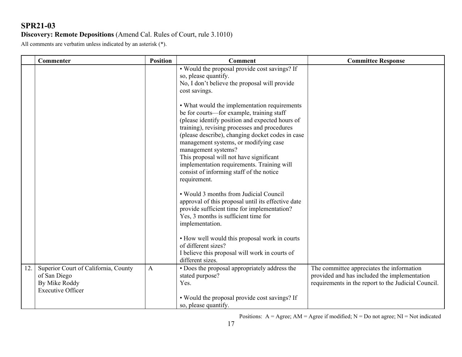### **Discovery: Remote Depositions** (Amend Cal. Rules of Court, rule 3.1010)

All comments are verbatim unless indicated by an asterisk (\*).

|     | Commenter                                                                                         | <b>Position</b> | <b>Comment</b>                                                                                                                                                                                                                                                                                                                                                                                                                                                        | <b>Committee Response</b>                                                                                                                        |
|-----|---------------------------------------------------------------------------------------------------|-----------------|-----------------------------------------------------------------------------------------------------------------------------------------------------------------------------------------------------------------------------------------------------------------------------------------------------------------------------------------------------------------------------------------------------------------------------------------------------------------------|--------------------------------------------------------------------------------------------------------------------------------------------------|
|     |                                                                                                   |                 | • Would the proposal provide cost savings? If<br>so, please quantify.<br>No, I don't believe the proposal will provide<br>cost savings.                                                                                                                                                                                                                                                                                                                               |                                                                                                                                                  |
|     |                                                                                                   |                 | • What would the implementation requirements<br>be for courts-for example, training staff<br>(please identify position and expected hours of<br>training), revising processes and procedures<br>(please describe), changing docket codes in case<br>management systems, or modifying case<br>management systems?<br>This proposal will not have significant<br>implementation requirements. Training will<br>consist of informing staff of the notice<br>requirement. |                                                                                                                                                  |
|     |                                                                                                   |                 | • Would 3 months from Judicial Council<br>approval of this proposal until its effective date<br>provide sufficient time for implementation?<br>Yes, 3 months is sufficient time for<br>implementation.                                                                                                                                                                                                                                                                |                                                                                                                                                  |
|     |                                                                                                   |                 | • How well would this proposal work in courts<br>of different sizes?<br>I believe this proposal will work in courts of<br>different sizes.                                                                                                                                                                                                                                                                                                                            |                                                                                                                                                  |
| 12. | Superior Court of California, County<br>of San Diego<br>By Mike Roddy<br><b>Executive Officer</b> | A               | • Does the proposal appropriately address the<br>stated purpose?<br>Yes.                                                                                                                                                                                                                                                                                                                                                                                              | The committee appreciates the information<br>provided and has included the implementation<br>requirements in the report to the Judicial Council. |
|     |                                                                                                   |                 | • Would the proposal provide cost savings? If<br>so, please quantify.                                                                                                                                                                                                                                                                                                                                                                                                 |                                                                                                                                                  |